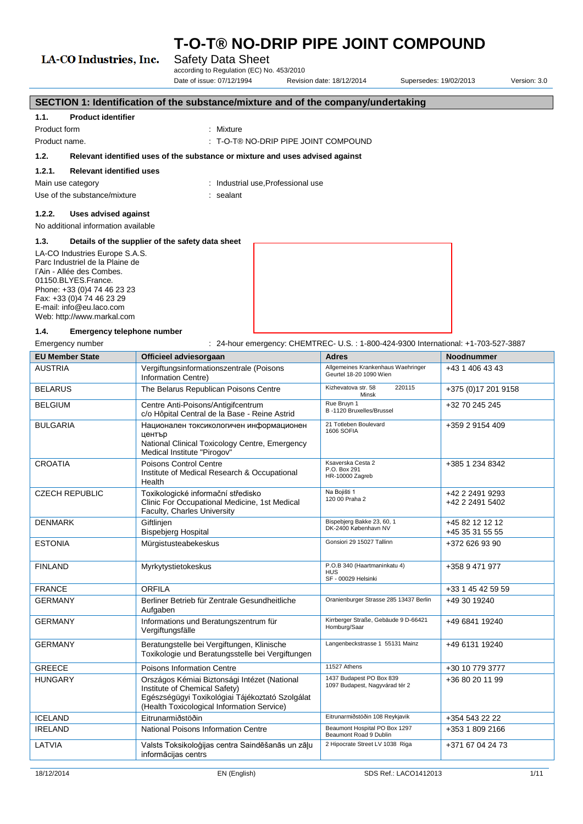## LA-CO Industries, Inc.

### Safety Data Sheet

according to Regulation (EC) No. 453/2010

Date of issue: 07/12/1994 Revision date: 18/12/2014 Supersedes: 19/02/2013 Version: 3.0

|                                                    | SECTION 1: Identification of the substance/mixture and of the company/undertaking |                                                                               |  |  |
|----------------------------------------------------|-----------------------------------------------------------------------------------|-------------------------------------------------------------------------------|--|--|
| 1.1.                                               | <b>Product identifier</b>                                                         |                                                                               |  |  |
| Product form                                       |                                                                                   | : Mixture                                                                     |  |  |
| Product name.                                      |                                                                                   | $\pm$ T-O-T® NO-DRIP PIPE JOINT COMPOUND                                      |  |  |
| 1.2.                                               |                                                                                   | Relevant identified uses of the substance or mixture and uses advised against |  |  |
| 1.2.1.                                             | <b>Relevant identified uses</b>                                                   |                                                                               |  |  |
|                                                    | Main use category                                                                 | : Industrial use, Professional use                                            |  |  |
|                                                    | Use of the substance/mixture                                                      | : sealant                                                                     |  |  |
| 1.2.2.                                             | Uses advised against                                                              |                                                                               |  |  |
|                                                    | No additional information available                                               |                                                                               |  |  |
| 1.3.                                               | Details of the supplier of the safety data sheet                                  |                                                                               |  |  |
|                                                    | LA-CO Industries Europe S.A.S.                                                    |                                                                               |  |  |
| Parc Industriel de la Plaine de                    |                                                                                   |                                                                               |  |  |
| l'Ain - Allée des Combes.                          |                                                                                   |                                                                               |  |  |
| 01150.BLYES.France.<br>Phone: +33 (0)4 74 46 23 23 |                                                                                   |                                                                               |  |  |
| Fax: +33 (0)4 74 46 23 29                          |                                                                                   |                                                                               |  |  |
| E-mail: info@eu.laco.com                           |                                                                                   |                                                                               |  |  |
| Web: http://www.markal.com                         |                                                                                   |                                                                               |  |  |
| 1.4.                                               | Emergency telephone number                                                        |                                                                               |  |  |

Emergency number : 24-hour emergency: CHEMTREC- U.S.: 1-800-424-9300 International: +1-703-527-3887

| <b>EU Member State</b> | Officieel adviesorgaan                                                                                                                                                         | <b>Adres</b>                                                      | <b>Noodnummer</b>                  |
|------------------------|--------------------------------------------------------------------------------------------------------------------------------------------------------------------------------|-------------------------------------------------------------------|------------------------------------|
| <b>AUSTRIA</b>         | Vergiftungsinformationszentrale (Poisons<br>Information Centre)                                                                                                                | Allgemeines Krankenhaus Waehringer<br>Geurtel 18-20 1090 Wien     | +43 1 406 43 43                    |
| <b>BELARUS</b>         | The Belarus Republican Poisons Centre                                                                                                                                          | Kizhevatova str. 58<br>220115<br>Minsk                            | +375 (0) 17 201 9158               |
| <b>BELGIUM</b>         | Centre Anti-Poisons/Antigifcentrum<br>c/o Hôpital Central de la Base - Reine Astrid                                                                                            | Rue Bruyn 1<br>B-1120 Bruxelles/Brussel                           | +32 70 245 245                     |
| <b>BULGARIA</b>        | Национален токсикологичен информационен<br>център<br>National Clinical Toxicology Centre, Emergency<br>Medical Institute "Pirogov"                                             | 21 Totleben Boulevard<br><b>1606 SOFIA</b>                        | +359 2 9154 409                    |
| <b>CROATIA</b>         | Poisons Control Centre<br>Institute of Medical Research & Occupational<br>Health                                                                                               | Ksaverska Cesta 2<br>P.O. Box 291<br>HR-10000 Zagreb              | +385 1 234 8342                    |
| <b>CZECH REPUBLIC</b>  | Toxikologické informační středisko<br>Clinic For Occupational Medicine, 1st Medical<br>Faculty, Charles University                                                             | Na Bojišti 1<br>120 00 Praha 2                                    | +42 2 2491 9293<br>+42 2 2491 5402 |
| <b>DENMARK</b>         | Giftlinjen<br><b>Bispebjerg Hospital</b>                                                                                                                                       | Bispebjerg Bakke 23, 60, 1<br>DK-2400 København NV                | +45 82 12 12 12<br>+45 35 31 55 55 |
| <b>ESTONIA</b>         | Mürgistusteabekeskus                                                                                                                                                           | Gonsiori 29 15027 Tallinn                                         | +372 626 93 90                     |
| <b>FINLAND</b>         | Myrkytystietokeskus                                                                                                                                                            | P.O.B 340 (Haartmaninkatu 4)<br><b>HUS</b><br>SF - 00029 Helsinki | +358 9 471 977                     |
| <b>FRANCE</b>          | <b>ORFILA</b>                                                                                                                                                                  |                                                                   | +33 1 45 42 59 59                  |
| <b>GERMANY</b>         | Berliner Betrieb für Zentrale Gesundheitliche<br>Aufgaben                                                                                                                      | Oranienburger Strasse 285 13437 Berlin                            | +49 30 19240                       |
| <b>GERMANY</b>         | Informations und Beratungszentrum für<br>Vergiftungsfälle                                                                                                                      | Kirrberger Straße, Gebäude 9 D-66421<br>Homburg/Saar              | +49 6841 19240                     |
| <b>GERMANY</b>         | Beratungstelle bei Vergiftungen, Klinische<br>Toxikologie und Beratungsstelle bei Vergiftungen                                                                                 | Langenbeckstrasse 1 55131 Mainz                                   | +49 6131 19240                     |
| <b>GREECE</b>          | <b>Poisons Information Centre</b>                                                                                                                                              | 11527 Athens                                                      | +30 10 779 3777                    |
| <b>HUNGARY</b>         | Országos Kémiai Biztonsági Intézet (National<br>Institute of Chemical Safety)<br>Egészségügyi Toxikológiai Tájékoztató Szolgálat<br>(Health Toxicological Information Service) | 1437 Budapest PO Box 839<br>1097 Budapest, Nagyvárad tér 2        | +36 80 20 11 99                    |
| <b>ICELAND</b>         | Eitrunarmiðstöðin                                                                                                                                                              | Eitrunarmiðstöðin 108 Reykjavik                                   | +354 543 22 22                     |
| <b>IRELAND</b>         | National Poisons Information Centre                                                                                                                                            | Beaumont Hospital PO Box 1297<br>Beaumont Road 9 Dublin           | +353 1 809 2166                    |
| LATVIA                 | Valsts Toksikoloģijas centra Saindēšanās un zāļu<br>informācijas centrs                                                                                                        | 2 Hipocrate Street LV 1038 Riga                                   | +371 67 04 24 73                   |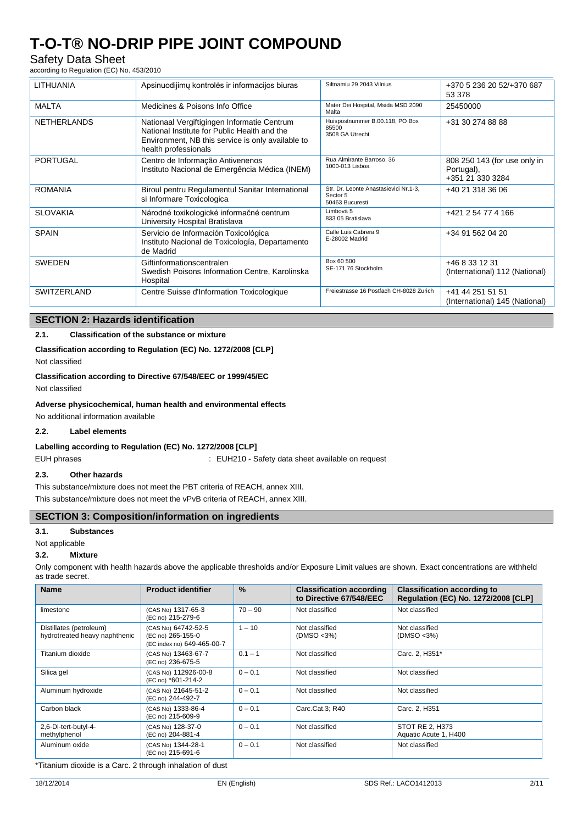## Safety Data Sheet

according to Regulation (EC) No. 453/2010

| <b>LITHUANIA</b>   | Apsinuodijimų kontrolės ir informacijos biuras                                                                                                                           | Siltnamiu 29 2043 Vilnius                                            | +370 5 236 20 52/+370 687<br>53 378                            |
|--------------------|--------------------------------------------------------------------------------------------------------------------------------------------------------------------------|----------------------------------------------------------------------|----------------------------------------------------------------|
| <b>MALTA</b>       | Medicines & Poisons Info Office                                                                                                                                          | Mater Dei Hospital, Msida MSD 2090<br>Malta                          | 25450000                                                       |
| <b>NETHERLANDS</b> | Nationaal Vergiftigingen Informatie Centrum<br>National Institute for Public Health and the<br>Environment, NB this service is only available to<br>health professionals | Huispostnummer B.00.118, PO Box<br>85500<br>3508 GA Utrecht          | +31 30 274 88 88                                               |
| PORTUGAL           | Centro de Informação Antivenenos<br>Instituto Nacional de Emergência Médica (INEM)                                                                                       | Rua Almirante Barroso, 36<br>1000-013 Lisboa                         | 808 250 143 (for use only in<br>Portugal),<br>+351 21 330 3284 |
| <b>ROMANIA</b>     | Biroul pentru Regulamentul Sanitar International<br>si Informare Toxicologica                                                                                            | Str. Dr. Leonte Anastasievici Nr.1-3,<br>Sector 5<br>50463 Bucuresti | +40 21 318 36 06                                               |
| <b>SLOVAKIA</b>    | Národné toxikologické informačné centrum<br>University Hospital Bratislava                                                                                               | Limbová 5<br>833 05 Bratislava                                       | +421 2 54 77 4 166                                             |
| <b>SPAIN</b>       | Servicio de Información Toxicológica<br>Instituto Nacional de Toxicología, Departamento<br>de Madrid                                                                     | Calle Luis Cabrera 9<br>E-28002 Madrid                               | +34 91 562 04 20                                               |
| <b>SWEDEN</b>      | Giftinformationscentralen<br>Swedish Poisons Information Centre, Karolinska<br>Hospital                                                                                  | Box 60 500<br>SE-171 76 Stockholm                                    | +46 8 33 12 31<br>(International) 112 (National)               |
| SWITZERLAND        | Centre Suisse d'Information Toxicologique                                                                                                                                | Freiestrasse 16 Postfach CH-8028 Zurich                              | +41 44 251 51 51<br>(International) 145 (National)             |

### **SECTION 2: Hazards identification**

### **2.1. Classification of the substance or mixture**

#### **Classification according to Regulation (EC) No. 1272/2008 [CLP]**

Not classified

**Classification according to Directive 67/548/EEC or 1999/45/EC** Not classified

#### **Adverse physicochemical, human health and environmental effects**

No additional information available

#### **2.2. Label elements**

#### **Labelling according to Regulation (EC) No. 1272/2008 [CLP]**

EUH phrases **EUH210** - Safety data sheet available on request

#### **2.3. Other hazards**

This substance/mixture does not meet the PBT criteria of REACH, annex XIII. This substance/mixture does not meet the vPvB criteria of REACH, annex XIII.

### **SECTION 3: Composition/information on ingredients**

#### **3.1. Substances**

Not applicable

### **3.2. Mixture**

Only component with health hazards above the applicable thresholds and/or Exposure Limit values are shown. Exact concentrations are withheld as trade secret.

| <b>Name</b>                                              | <b>Product identifier</b>                                              | $\frac{0}{0}$ | <b>Classification according</b><br>to Directive 67/548/EEC | <b>Classification according to</b><br><b>Requlation (EC) No. 1272/2008 [CLP]</b> |
|----------------------------------------------------------|------------------------------------------------------------------------|---------------|------------------------------------------------------------|----------------------------------------------------------------------------------|
| limestone                                                | (CAS No) 1317-65-3<br>(EC no) 215-279-6                                | $70 - 90$     | Not classified                                             | Not classified                                                                   |
| Distillates (petroleum)<br>hydrotreated heavy naphthenic | (CAS No) 64742-52-5<br>(EC no) 265-155-0<br>(EC index no) 649-465-00-7 | $1 - 10$      | Not classified<br>(DMSO < 3%)                              | Not classified<br>(DMSO < 3%)                                                    |
| Titanium dioxide                                         | (CAS No) 13463-67-7<br>(EC no) 236-675-5                               | $0.1 - 1$     | Not classified                                             | Carc. 2, H351*                                                                   |
| Silica gel                                               | (CAS No) 112926-00-8<br>(EC no) *601-214-2                             | $0 - 0.1$     | Not classified                                             | Not classified                                                                   |
| Aluminum hydroxide                                       | (CAS No) 21645-51-2<br>(EC no) 244-492-7                               | $0 - 0.1$     | Not classified                                             | Not classified                                                                   |
| Carbon black                                             | (CAS No) 1333-86-4<br>(EC no) 215-609-9                                | $0 - 0.1$     | Carc.Cat.3: R40                                            | Carc. 2, H351                                                                    |
| 2,6-Di-tert-butyl-4-<br>methylphenol                     | (CAS No) 128-37-0<br>(EC no) 204-881-4                                 | $0 - 0.1$     | Not classified                                             | STOT RE 2, H373<br>Aquatic Acute 1, H400                                         |
| Aluminum oxide                                           | (CAS No) 1344-28-1<br>(EC no) 215-691-6                                | $0 - 0.1$     | Not classified                                             | Not classified                                                                   |

\*Titanium dioxide is a Carc. 2 through inhalation of dust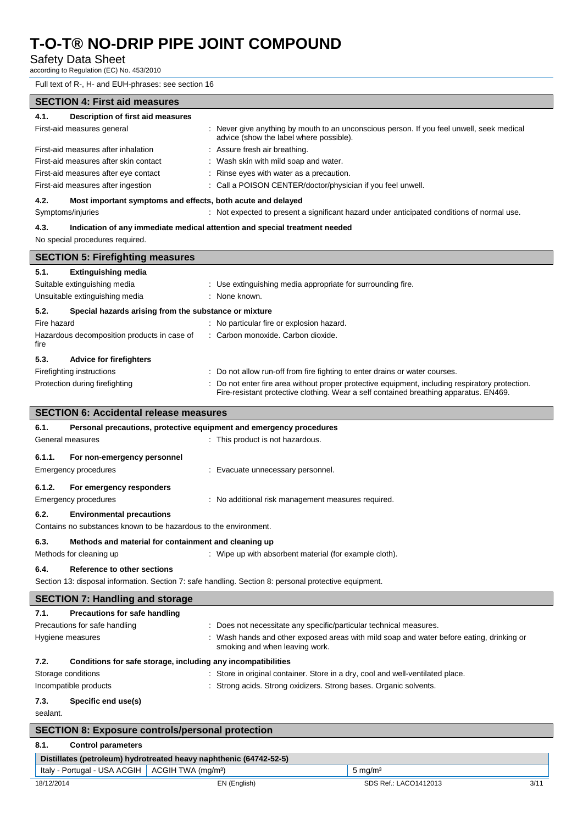### Safety Data Sheet

according to Regulation (EC) No. 453/2010

Full text of R-, H- and EUH-phrases: see section 16

| <b>SECTION 4: First aid measures</b>                                 |                                                                                                                                      |  |  |
|----------------------------------------------------------------------|--------------------------------------------------------------------------------------------------------------------------------------|--|--|
| 4.1.<br>Description of first aid measures                            |                                                                                                                                      |  |  |
| First-aid measures general                                           | : Never give anything by mouth to an unconscious person. If you feel unwell, seek medical<br>advice (show the label where possible). |  |  |
| First-aid measures after inhalation<br>: Assure fresh air breathing. |                                                                                                                                      |  |  |
| First-aid measures after skin contact                                | : Wash skin with mild soap and water.                                                                                                |  |  |
| First-aid measures after eye contact                                 | : Rinse eyes with water as a precaution.                                                                                             |  |  |
| First-aid measures after ingestion                                   | : Call a POISON CENTER/doctor/physician if you feel unwell.                                                                          |  |  |
| 4.2.<br>Most important symptoms and effects, both acute and delayed  |                                                                                                                                      |  |  |
| Symptoms/injuries                                                    | : Not expected to present a significant hazard under anticipated conditions of normal use.                                           |  |  |
| 4.3.                                                                 | Indication of any immediate medical attention and special treatment needed                                                           |  |  |
| No special procedures required.                                      |                                                                                                                                      |  |  |
| <b>SECTION 5: Firefighting measures</b>                              |                                                                                                                                      |  |  |
| 5.1.<br><b>Extinguishing media</b>                                   |                                                                                                                                      |  |  |
| Suitable extinguishing media                                         | : Use extinguishing media appropriate for surrounding fire.                                                                          |  |  |
| Unsuitable extinguishing media                                       | : None known.                                                                                                                        |  |  |
| 5.2.<br>Special hazards arising from the substance or mixture        |                                                                                                                                      |  |  |
| Fire hazard                                                          | : No particular fire or explosion hazard.                                                                                            |  |  |
| Hazardous decomposition products in case of<br>fire                  | : Carbon monoxide. Carbon dioxide.                                                                                                   |  |  |
| 5.3.<br><b>Advice for firefighters</b>                               |                                                                                                                                      |  |  |
| Firefighting instructions                                            | : Do not allow run-off from fire fighting to enter drains or water courses.                                                          |  |  |
| Protection during firefighting                                       | Do not enter fire area without proper protective equipment, including respiratory protection.                                        |  |  |
|                                                                      | Fire-resistant protective clothing. Wear a self contained breathing apparatus. EN469.                                                |  |  |
| <b>SECTION 6: Accidental release measures</b>                        |                                                                                                                                      |  |  |
| 6.1.                                                                 | Personal precautions, protective equipment and emergency procedures                                                                  |  |  |
| General measures                                                     | : This product is not hazardous.                                                                                                     |  |  |
| 6.1.1.<br>For non-emergency personnel                                |                                                                                                                                      |  |  |
| <b>Emergency procedures</b>                                          | : Evacuate unnecessary personnel.                                                                                                    |  |  |
|                                                                      |                                                                                                                                      |  |  |
| 6.1.2.<br>For emergency responders                                   |                                                                                                                                      |  |  |
| <b>Emergency procedures</b>                                          | : No additional risk management measures required.                                                                                   |  |  |
| 6.2.<br><b>Environmental precautions</b>                             |                                                                                                                                      |  |  |
| Contains no substances known to be hazardous to the environment.     |                                                                                                                                      |  |  |
| 6.3.<br>Methods and material for containment and cleaning up         |                                                                                                                                      |  |  |
| Methods for cleaning up                                              | : Wipe up with absorbent material (for example cloth).                                                                               |  |  |
| 6.4.<br><b>Reference to other sections</b>                           |                                                                                                                                      |  |  |
|                                                                      | Section 13: disposal information. Section 7: safe handling. Section 8: personal protective equipment.                                |  |  |
| <b>SECTION 7: Handling and storage</b>                               |                                                                                                                                      |  |  |
| 7.1.<br><b>Precautions for safe handling</b>                         |                                                                                                                                      |  |  |
| Precautions for safe handling                                        | : Does not necessitate any specific/particular technical measures.                                                                   |  |  |
| Hygiene measures                                                     | : Wash hands and other exposed areas with mild soap and water before eating, drinking or<br>smoking and when leaving work.           |  |  |
| Conditions for safe storage, including any incompatibilities<br>7.2. |                                                                                                                                      |  |  |
| Storage conditions                                                   | : Store in original container. Store in a dry, cool and well-ventilated place.                                                       |  |  |
| Incompatible products                                                | : Strong acids. Strong oxidizers. Strong bases. Organic solvents.                                                                    |  |  |
| 7.3.<br>Specific end use(s)                                          |                                                                                                                                      |  |  |
| sealant.                                                             |                                                                                                                                      |  |  |
| <b>SECTION 8: Exposure controls/personal protection</b>              |                                                                                                                                      |  |  |
| 8.1.<br><b>Control parameters</b>                                    |                                                                                                                                      |  |  |
| Distillates (petroleum) hydrotreated heavy naphthenic (64742-52-5)   |                                                                                                                                      |  |  |
| Italy - Portugal - USA ACGIH<br>ACGIH TWA (mg/m <sup>3</sup> )       | $5 \text{ mg/m}^3$                                                                                                                   |  |  |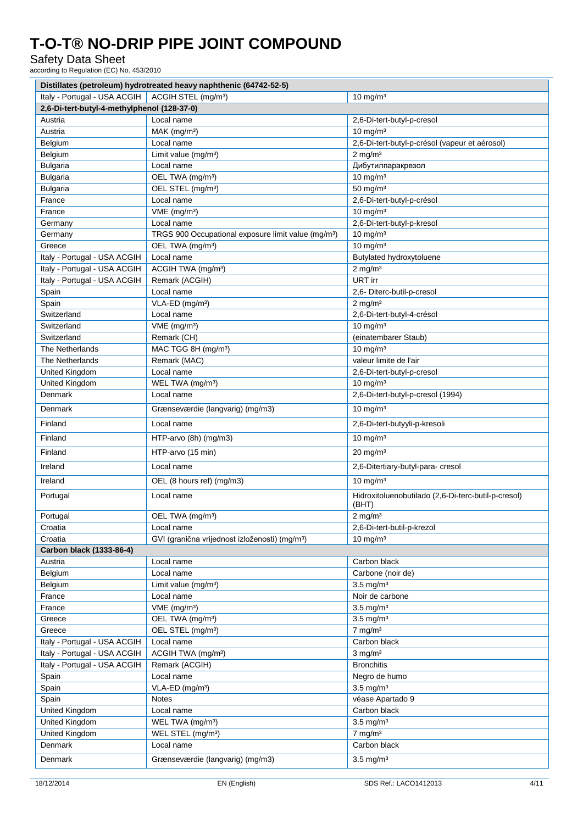## Safety Data Sheet

according to Regulation (EC) No. 453/2010

| Distillates (petroleum) hydrotreated heavy naphthenic (64742-52-5) |                                                                 |                                                              |  |  |
|--------------------------------------------------------------------|-----------------------------------------------------------------|--------------------------------------------------------------|--|--|
| Italy - Portugal - USA ACGIH                                       | ACGIH STEL (mg/m <sup>3</sup> )                                 | $10 \text{ mg/m}^3$                                          |  |  |
| 2,6-Di-tert-butyl-4-methylphenol (128-37-0)                        |                                                                 |                                                              |  |  |
| Austria                                                            | Local name                                                      | 2,6-Di-tert-butyl-p-cresol                                   |  |  |
| Austria                                                            | MAK (mg/m <sup>3</sup> )                                        | $10 \text{ mg/m}^3$                                          |  |  |
| Belgium                                                            | Local name                                                      | 2,6-Di-tert-butyl-p-crésol (vapeur et aérosol)               |  |  |
| Belgium                                                            | Limit value (mg/m <sup>3</sup> )                                | $2$ mg/m <sup>3</sup>                                        |  |  |
| <b>Bulgaria</b>                                                    | Local name                                                      | Дибутилпаракрезол                                            |  |  |
| <b>Bulgaria</b>                                                    | OEL TWA (mg/m <sup>3</sup> )                                    | $10 \text{ mg/m}^3$                                          |  |  |
| <b>Bulgaria</b>                                                    | OEL STEL (mg/m <sup>3</sup> )                                   | $50$ mg/m <sup>3</sup>                                       |  |  |
| France                                                             | Local name                                                      | 2,6-Di-tert-butyl-p-crésol                                   |  |  |
| France                                                             | $VME$ (mg/m <sup>3</sup> )                                      | $10 \text{ mg/m}^3$                                          |  |  |
| Germany                                                            | Local name                                                      | 2,6-Di-tert-butyl-p-kresol                                   |  |  |
| Germany                                                            | TRGS 900 Occupational exposure limit value (mg/m <sup>3</sup> ) | $10 \text{ mg/m}^3$                                          |  |  |
| Greece                                                             | OEL TWA (mg/m <sup>3</sup> )                                    | $10 \text{ mg/m}^3$                                          |  |  |
| Italy - Portugal - USA ACGIH                                       | Local name                                                      | Butylated hydroxytoluene                                     |  |  |
| Italy - Portugal - USA ACGIH                                       | ACGIH TWA (mg/m <sup>3</sup> )                                  | $2$ mg/m <sup>3</sup>                                        |  |  |
| Italy - Portugal - USA ACGIH                                       | Remark (ACGIH)                                                  | URT irr                                                      |  |  |
| Spain                                                              | Local name                                                      | 2,6- Diterc-butil-p-cresol                                   |  |  |
| Spain                                                              | VLA-ED (mg/m <sup>3</sup> )                                     | $2 \text{ mg/m}^3$                                           |  |  |
| Switzerland                                                        | Local name                                                      | 2,6-Di-tert-butyl-4-crésol                                   |  |  |
| Switzerland                                                        | VME (mg/m <sup>3</sup> )                                        | $10 \text{ mg/m}^3$                                          |  |  |
| Switzerland                                                        | Remark (CH)                                                     | (einatembarer Staub)                                         |  |  |
| The Netherlands                                                    | MAC TGG 8H (mg/m <sup>3</sup> )                                 | $10$ mg/m <sup>3</sup>                                       |  |  |
| The Netherlands                                                    | Remark (MAC)                                                    | valeur limite de l'air                                       |  |  |
|                                                                    | Local name                                                      |                                                              |  |  |
| United Kingdom                                                     |                                                                 | 2,6-Di-tert-butyl-p-cresol                                   |  |  |
| United Kingdom                                                     | WEL TWA (mg/m <sup>3</sup> )                                    | 10 mg/m $3$                                                  |  |  |
| <b>Denmark</b>                                                     | Local name                                                      | 2,6-Di-tert-butyl-p-cresol (1994)                            |  |  |
| <b>Denmark</b>                                                     | Grænseværdie (langvarig) (mg/m3)                                | $10 \text{ mg/m}^3$                                          |  |  |
| Finland                                                            | Local name                                                      | 2,6-Di-tert-butyyli-p-kresoli                                |  |  |
| Finland                                                            | HTP-arvo (8h) (mg/m3)                                           | $10 \text{ mg/m}^3$                                          |  |  |
| Finland                                                            | HTP-arvo (15 min)                                               | $20 \text{ mg/m}^3$                                          |  |  |
| Ireland                                                            | Local name                                                      | 2,6-Ditertiary-butyl-para- cresol                            |  |  |
| Ireland                                                            | OEL (8 hours ref) (mg/m3)                                       | $10 \text{ mg/m}^3$                                          |  |  |
| Portugal                                                           | Local name                                                      | Hidroxitoluenobutilado (2,6-Di-terc-butil-p-cresol)<br>(BHT) |  |  |
| Portugal                                                           | OEL TWA (mg/m <sup>3</sup> )                                    | $2 \text{ mg/m}^3$                                           |  |  |
| Croatia                                                            | Local name                                                      | 2,6-Di-tert-butil-p-krezol                                   |  |  |
| Croatia                                                            | GVI (granična vrijednost izloženosti) (mg/m <sup>3</sup> )      | $10 \text{ mg/m}^3$                                          |  |  |
| Carbon black (1333-86-4)                                           |                                                                 |                                                              |  |  |
| Austria                                                            | Local name                                                      | Carbon black                                                 |  |  |
| Belgium                                                            | Local name                                                      | Carbone (noir de)                                            |  |  |
| Belgium                                                            | Limit value $(mg/m3)$                                           | $3.5 \text{ mg/m}^3$                                         |  |  |
| France                                                             | Local name                                                      | Noir de carbone                                              |  |  |
| France                                                             | VME (mg/m <sup>3</sup> )                                        | $3.5$ mg/m <sup>3</sup>                                      |  |  |
| Greece                                                             | OEL TWA (mg/m <sup>3</sup> )                                    | $3.5$ mg/m <sup>3</sup>                                      |  |  |
| Greece                                                             | OEL STEL (mg/m <sup>3</sup> )                                   | $7$ mg/m $3$                                                 |  |  |
| Italy - Portugal - USA ACGIH                                       | Local name                                                      | Carbon black                                                 |  |  |
| Italy - Portugal - USA ACGIH                                       | ACGIH TWA (mg/m <sup>3</sup> )                                  | $3$ mg/m $3$                                                 |  |  |
| Italy - Portugal - USA ACGIH                                       | Remark (ACGIH)                                                  | <b>Bronchitis</b>                                            |  |  |
| Spain                                                              | Local name                                                      | Negro de humo                                                |  |  |
| Spain                                                              | VLA-ED (mg/m <sup>3</sup> )                                     | $3.5$ mg/m <sup>3</sup>                                      |  |  |
| Spain                                                              | Notes                                                           | véase Apartado 9                                             |  |  |
| United Kingdom                                                     | Local name                                                      | Carbon black                                                 |  |  |
| United Kingdom                                                     | WEL TWA (mg/m <sup>3</sup> )                                    | $3.5$ mg/m <sup>3</sup>                                      |  |  |
| United Kingdom                                                     | WEL STEL (mg/m <sup>3</sup> )                                   | $7$ mg/m $3$                                                 |  |  |
| Denmark                                                            | Local name                                                      | Carbon black                                                 |  |  |
| Denmark                                                            | Grænseværdie (langvarig) (mg/m3)                                | $3.5$ mg/m <sup>3</sup>                                      |  |  |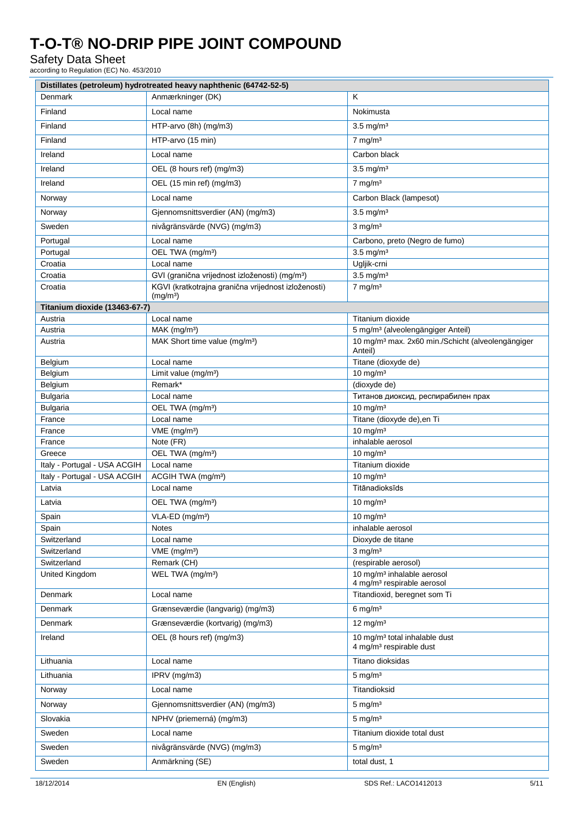## Safety Data Sheet

according to Regulation (EC) No. 453/2010

|                               | Distillates (petroleum) hydrotreated heavy naphthenic (64742-52-5)          |                                                                                  |  |
|-------------------------------|-----------------------------------------------------------------------------|----------------------------------------------------------------------------------|--|
| Denmark                       | Anmærkninger (DK)                                                           | K                                                                                |  |
| Finland                       | Local name                                                                  | Nokimusta                                                                        |  |
| Finland                       | HTP-arvo (8h) (mg/m3)                                                       | $3.5 \text{ mg/m}^3$                                                             |  |
| Finland                       | HTP-arvo (15 min)                                                           | $7 \text{ mg/m}^3$                                                               |  |
| Ireland                       | Local name                                                                  | Carbon black                                                                     |  |
| Ireland                       | OEL (8 hours ref) (mg/m3)                                                   | $3.5 \text{ mg/m}^3$                                                             |  |
| Ireland                       | OEL (15 min ref) (mg/m3)                                                    | $7 \text{ mg/m}^3$                                                               |  |
|                               |                                                                             | Carbon Black (lampesot)                                                          |  |
| Norway                        | Local name                                                                  |                                                                                  |  |
| Norway                        | Gjennomsnittsverdier (AN) (mg/m3)                                           | $3.5 \text{ mg/m}^3$                                                             |  |
| Sweden                        | nivågränsvärde (NVG) (mg/m3)                                                | $3$ mg/m <sup>3</sup>                                                            |  |
| Portugal                      | Local name                                                                  | Carbono, preto (Negro de fumo)                                                   |  |
| Portugal                      | OEL TWA (mg/m <sup>3</sup> )                                                | $3.5$ mg/m <sup>3</sup>                                                          |  |
| Croatia                       | Local name                                                                  | Ugljik-crni                                                                      |  |
| Croatia                       | GVI (granična vrijednost izloženosti) (mg/m <sup>3</sup> )                  | $3.5$ mg/m <sup>3</sup>                                                          |  |
| Croatia                       | KGVI (kratkotrajna granična vrijednost izloženosti)<br>(mg/m <sup>3</sup> ) | $7$ mg/m <sup>3</sup>                                                            |  |
| Titanium dioxide (13463-67-7) |                                                                             |                                                                                  |  |
| Austria                       | Local name                                                                  | Titanium dioxide                                                                 |  |
| Austria                       | $MAK$ (mg/m <sup>3</sup> )                                                  | 5 mg/m <sup>3</sup> (alveolengängiger Anteil)                                    |  |
| Austria                       | MAK Short time value (mg/m <sup>3</sup> )                                   | 10 mg/m <sup>3</sup> max. 2x60 min./Schicht (alveolengängiger<br>Anteil)         |  |
| Belgium                       | Local name                                                                  | Titane (dioxyde de)                                                              |  |
| Belgium                       | Limit value (mg/m <sup>3</sup> )                                            | $10 \text{ mg/m}^3$                                                              |  |
| Belgium                       | Remark*                                                                     | (dioxyde de)                                                                     |  |
| <b>Bulgaria</b>               | Local name                                                                  | Титанов диоксид, респирабилен прах                                               |  |
| <b>Bulgaria</b>               | OEL TWA (mg/m <sup>3</sup> )                                                | $10 \text{ mg/m}^3$                                                              |  |
| France                        | Local name                                                                  | Titane (dioxyde de), en Ti                                                       |  |
| France                        | VME (mg/m <sup>3</sup> )                                                    | $10 \text{ mg/m}^3$                                                              |  |
| France                        | Note (FR)                                                                   | inhalable aerosol                                                                |  |
| Greece                        | OEL TWA (mg/m <sup>3</sup> )                                                | $10 \text{ mg/m}^3$                                                              |  |
| Italy - Portugal - USA ACGIH  | Local name                                                                  | Titanium dioxide                                                                 |  |
| Italy - Portugal - USA ACGIH  | ACGIH TWA (mg/m <sup>3</sup> )                                              | $10$ mg/m <sup>3</sup>                                                           |  |
| Latvia                        | Local name                                                                  | Titānadioksīds                                                                   |  |
| Latvia                        | OEL TWA (mg/m <sup>3</sup> )                                                | $10 \text{ mg/m}^3$                                                              |  |
| Spain                         | VLA-ED (mg/m <sup>3</sup> )                                                 | $10 \text{ mg/m}^3$                                                              |  |
| Spain                         | <b>Notes</b>                                                                | inhalable aerosol                                                                |  |
| Switzerland                   | Local name                                                                  | Dioxyde de titane                                                                |  |
| Switzerland                   | VME (mg/m <sup>3</sup> )                                                    | $3$ mg/m $3$                                                                     |  |
| Switzerland                   | Remark (CH)                                                                 | (respirable aerosol)<br>10 mg/m <sup>3</sup> inhalable aerosol                   |  |
| United Kingdom                | WEL TWA (mg/m <sup>3</sup> )                                                | 4 mg/m <sup>3</sup> respirable aerosol                                           |  |
| Denmark                       | Local name                                                                  | Titandioxid, beregnet som Ti                                                     |  |
| Denmark                       | Grænseværdie (langvarig) (mg/m3)                                            | $6$ mg/m <sup>3</sup>                                                            |  |
| Denmark                       | Grænseværdie (kortvarig) (mg/m3)                                            | $12 \text{ mg/m}^3$                                                              |  |
| Ireland                       | OEL (8 hours ref) (mg/m3)                                                   | 10 mg/m <sup>3</sup> total inhalable dust<br>4 mg/m <sup>3</sup> respirable dust |  |
| Lithuania                     | Local name                                                                  | Titano dioksidas                                                                 |  |
| Lithuania                     | IPRV (mg/m3)                                                                | $5 \text{ mg/m}^3$                                                               |  |
| Norway                        | Local name                                                                  | Titandioksid                                                                     |  |
| Norway                        | Gjennomsnittsverdier (AN) (mg/m3)                                           | $5 \text{ mg/m}^3$                                                               |  |
| Slovakia                      | NPHV (priemerná) (mg/m3)                                                    | $5 \text{ mg/m}^3$                                                               |  |
| Sweden                        | Local name                                                                  | Titanium dioxide total dust                                                      |  |
| Sweden                        | nivågränsvärde (NVG) (mg/m3)                                                | $5 \text{ mg/m}^3$                                                               |  |
| Sweden                        | Anmärkning (SE)                                                             | total dust, 1                                                                    |  |
|                               |                                                                             |                                                                                  |  |
| 18/12/2014                    | EN (English)                                                                | SDS Ref.: LACO1412013<br>5/11                                                    |  |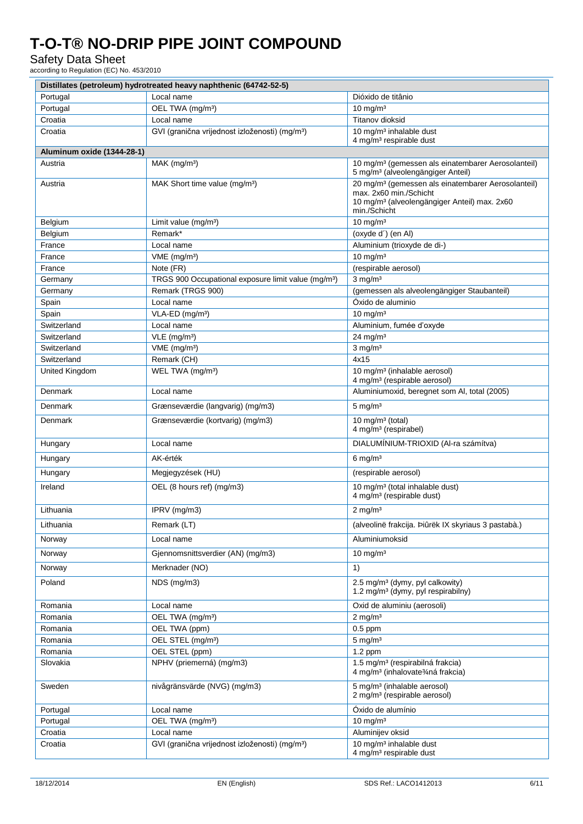## Safety Data Sheet

according to Regulation (EC) No. 453/2010

|                            | Distillates (petroleum) hydrotreated heavy naphthenic (64742-52-5) |                                                                                                                 |
|----------------------------|--------------------------------------------------------------------|-----------------------------------------------------------------------------------------------------------------|
| Portugal                   | Local name                                                         | Dióxido de titânio                                                                                              |
| Portugal                   | OEL TWA (mg/m <sup>3</sup> )                                       | $10 \text{ mg/m}^3$                                                                                             |
| Croatia                    | Local name                                                         | Titanov dioksid                                                                                                 |
| Croatia                    | GVI (granična vrijednost izloženosti) (mg/m <sup>3</sup> )         | 10 mg/m <sup>3</sup> inhalable dust                                                                             |
|                            |                                                                    | 4 mg/m <sup>3</sup> respirable dust                                                                             |
| Aluminum oxide (1344-28-1) |                                                                    |                                                                                                                 |
| Austria                    | $MAK$ (mg/m <sup>3</sup> )                                         | 10 mg/m <sup>3</sup> (gemessen als einatembarer Aerosolanteil)<br>5 mg/m <sup>3</sup> (alveolengängiger Anteil) |
| Austria                    | MAK Short time value (mg/m <sup>3</sup> )                          | 20 mg/m <sup>3</sup> (gemessen als einatembarer Aerosolanteil)                                                  |
|                            |                                                                    | max. 2x60 min./Schicht                                                                                          |
|                            |                                                                    | 10 mg/m <sup>3</sup> (alveolengängiger Anteil) max. 2x60<br>min./Schicht                                        |
| Belgium                    | Limit value $(mg/m3)$                                              | $10 \text{ mg/m}^3$                                                                                             |
| Belgium                    | Remark*                                                            | (oxyde d') (en Al)                                                                                              |
| France                     | Local name                                                         | Aluminium (trioxyde de di-)                                                                                     |
| France                     | VME (mg/m <sup>3</sup> )                                           | $10 \text{ mg/m}^3$                                                                                             |
| France                     | Note (FR)                                                          | (respirable aerosol)                                                                                            |
| Germany                    | TRGS 900 Occupational exposure limit value (mg/m <sup>3</sup> )    | $3$ mg/m <sup>3</sup>                                                                                           |
| Germany                    | Remark (TRGS 900)                                                  | (gemessen als alveolengängiger Staubanteil)                                                                     |
| Spain                      | Local name                                                         | Óxido de aluminio                                                                                               |
| Spain                      | VLA-ED (mg/m <sup>3</sup> )                                        | $10 \text{ mg/m}^3$                                                                                             |
| Switzerland                | Local name                                                         | Aluminium, fumée d'oxyde                                                                                        |
| Switzerland                | $VLE$ (mg/m <sup>3</sup> )                                         | $24$ mg/m <sup>3</sup>                                                                                          |
| Switzerland                | $VME$ (mg/m <sup>3</sup> )                                         | $3$ mg/m $3$                                                                                                    |
| Switzerland                | Remark (CH)                                                        | 4x15                                                                                                            |
| United Kingdom             | WEL TWA (mg/m <sup>3</sup> )                                       | 10 mg/m <sup>3</sup> (inhalable aerosol)<br>4 mg/m <sup>3</sup> (respirable aerosol)                            |
| Denmark                    | Local name                                                         | Aluminiumoxid, beregnet som Al, total (2005)                                                                    |
| Denmark                    | Grænseværdie (langvarig) (mg/m3)                                   | $5$ mg/m <sup>3</sup>                                                                                           |
| Denmark                    | Grænseværdie (kortvarig) (mg/m3)                                   | 10 mg/m $3$ (total)                                                                                             |
|                            |                                                                    | 4 mg/m <sup>3</sup> (respirabel)                                                                                |
| Hungary                    | Local name                                                         | DIALUMÍNIUM-TRIOXID (Al-ra számítva)                                                                            |
| Hungary                    | AK-érték                                                           | $6 \text{ mg/m}^3$                                                                                              |
| Hungary                    | Megjegyzések (HU)                                                  | (respirable aerosol)                                                                                            |
| Ireland                    | OEL (8 hours ref) (mg/m3)                                          | 10 mg/m <sup>3</sup> (total inhalable dust)<br>4 mg/m <sup>3</sup> (respirable dust)                            |
| Lithuania                  | IPRV (mg/m3)                                                       | $2$ mg/m <sup>3</sup>                                                                                           |
| Lithuania                  | Remark (LT)                                                        | (alveolinë frakcija. Þiûrëk IX skyriaus 3 pastabà.)                                                             |
|                            |                                                                    |                                                                                                                 |
| Norway                     | Local name                                                         | Aluminiumoksid                                                                                                  |
| Norway                     | Gjennomsnittsverdier (AN) (mg/m3)                                  | $10 \text{ mg/m}^3$                                                                                             |
| Norway                     | Merknader (NO)                                                     | 1)                                                                                                              |
| Poland                     | NDS (mg/m3)                                                        | 2.5 mg/m <sup>3</sup> (dymy, pyl calkowity)<br>1.2 mg/m <sup>3</sup> (dymy, pyl respirabilny)                   |
| Romania                    | Local name                                                         | Oxid de aluminiu (aerosoli)                                                                                     |
| Romania                    | OEL TWA (mg/m <sup>3</sup> )                                       | $2$ mg/m <sup>3</sup>                                                                                           |
| Romania                    | OEL TWA (ppm)                                                      | $0.5$ ppm                                                                                                       |
| Romania                    | OEL STEL (mg/m <sup>3</sup> )                                      | $5 \text{ mg/m}^3$                                                                                              |
| Romania                    | OEL STEL (ppm)                                                     | $1.2$ ppm                                                                                                       |
| Slovakia                   | NPHV (priemerná) (mg/m3)                                           | 1.5 mg/m <sup>3</sup> (respirabilná frakcia)<br>4 mg/m <sup>3</sup> (inhalovate3⁄4ná frakcia)                   |
| Sweden                     | nivågränsvärde (NVG) (mg/m3)                                       | 5 mg/m <sup>3</sup> (inhalable aerosol)<br>2 mg/m <sup>3</sup> (respirable aerosol)                             |
| Portugal                   | Local name                                                         | Óxido de alumínio                                                                                               |
| Portugal                   | OEL TWA (mg/m <sup>3</sup> )                                       | $10 \text{ mg/m}^3$                                                                                             |
| Croatia                    | Local name                                                         | Aluminijev oksid                                                                                                |
| Croatia                    | GVI (granična vrijednost izloženosti) (mg/m <sup>3</sup> )         | 10 mg/m <sup>3</sup> inhalable dust<br>4 mg/m <sup>3</sup> respirable dust                                      |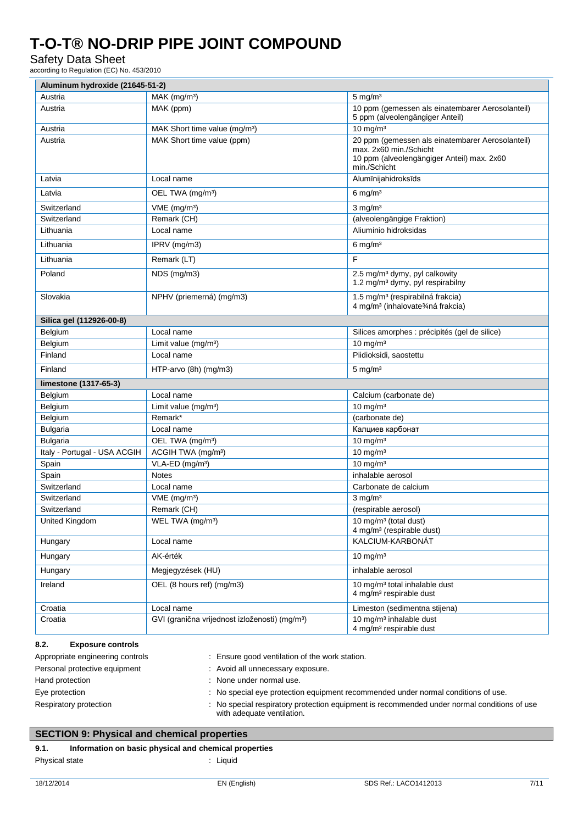### Safety Data Sheet

according to Regulation (EC) No. 453/2010

| Aluminum hydroxide (21645-51-2) |                                                            |                                                                                                                                          |
|---------------------------------|------------------------------------------------------------|------------------------------------------------------------------------------------------------------------------------------------------|
| Austria                         | $MAK$ (mg/m <sup>3</sup> )                                 | $5 \text{ mg/m}^3$                                                                                                                       |
| Austria                         | MAK (ppm)                                                  | 10 ppm (gemessen als einatembarer Aerosolanteil)<br>5 ppm (alveolengängiger Anteil)                                                      |
| Austria                         | MAK Short time value (mg/m <sup>3</sup> )                  | $10 \text{ mg/m}^3$                                                                                                                      |
| Austria                         | MAK Short time value (ppm)                                 | 20 ppm (gemessen als einatembarer Aerosolanteil)<br>max. 2x60 min./Schicht<br>10 ppm (alveolengängiger Anteil) max. 2x60<br>min./Schicht |
| Latvia                          | Local name                                                 | Alumīnijahidroksīds                                                                                                                      |
| Latvia                          | OEL TWA (mg/m <sup>3</sup> )                               | $6 \text{ mg/m}^3$                                                                                                                       |
| Switzerland                     | $VME$ (mg/m <sup>3</sup> )                                 | $3$ mg/m <sup>3</sup>                                                                                                                    |
| Switzerland                     | Remark (CH)                                                | (alveolengängige Fraktion)                                                                                                               |
| Lithuania                       | Local name                                                 | Aliuminio hidroksidas                                                                                                                    |
| Lithuania                       | IPRV (mg/m3)                                               | $6 \text{ mg/m}^3$                                                                                                                       |
| Lithuania                       | Remark (LT)                                                | F                                                                                                                                        |
| Poland                          | NDS (mg/m3)                                                | 2.5 mg/m <sup>3</sup> dymy, pyl calkowity<br>1.2 mg/m <sup>3</sup> dymy, pyl respirabilny                                                |
| Slovakia                        | NPHV (priemerná) (mg/m3)                                   | 1.5 mg/m <sup>3</sup> (respirabilná frakcia)<br>4 mg/m <sup>3</sup> (inhalovate3⁄4ná frakcia)                                            |
| Silica gel (112926-00-8)        |                                                            |                                                                                                                                          |
| Belgium                         | Local name                                                 | Silices amorphes : précipités (gel de silice)                                                                                            |
| Belgium                         | Limit value (mg/m <sup>3</sup> )                           | $10 \text{ mg/m}^3$                                                                                                                      |
| Finland                         | Local name                                                 | Piidioksidi, saostettu                                                                                                                   |
| Finland                         | HTP-arvo (8h) (mg/m3)                                      | $5 \text{ mg/m}^3$                                                                                                                       |
| limestone (1317-65-3)           |                                                            |                                                                                                                                          |
| Belgium                         | Local name                                                 | Calcium (carbonate de)                                                                                                                   |
| Belgium                         | Limit value (mg/m <sup>3</sup> )                           | $10 \text{ mg/m}^3$                                                                                                                      |
| Belgium                         | Remark*                                                    | (carbonate de)                                                                                                                           |
| <b>Bulgaria</b>                 | Local name                                                 | Калциев карбонат                                                                                                                         |
| <b>Bulgaria</b>                 | OEL TWA (mg/m <sup>3</sup> )                               | $10 \text{ mg/m}^3$                                                                                                                      |
| Italy - Portugal - USA ACGIH    | ACGIH TWA (mg/m <sup>3</sup> )                             | $10 \text{ mg/m}^3$                                                                                                                      |
| Spain                           | VLA-ED (mg/m <sup>3</sup> )                                | $10 \text{ mg/m}^3$                                                                                                                      |
| Spain                           | <b>Notes</b>                                               | inhalable aerosol                                                                                                                        |
| Switzerland                     | Local name                                                 | Carbonate de calcium                                                                                                                     |
| Switzerland                     | $VME$ (mg/m <sup>3</sup> )                                 | $3$ mg/m <sup>3</sup>                                                                                                                    |
| Switzerland                     | Remark (CH)                                                | (respirable aerosol)                                                                                                                     |
| United Kingdom                  | WEL TWA (mg/m <sup>3</sup> )                               | 10 mg/m <sup>3</sup> (total dust)<br>4 mg/m <sup>3</sup> (respirable dust)                                                               |
| Hungary                         | Local name                                                 | KALCIUM-KARBONÁT                                                                                                                         |
| Hungary                         | AK-érték                                                   | 10 mg/m $3$                                                                                                                              |
| Hungary                         | Megjegyzések (HU)                                          | inhalable aerosol                                                                                                                        |
| Ireland                         | OEL (8 hours ref) (mg/m3)                                  | 10 mg/m <sup>3</sup> total inhalable dust<br>4 mg/m <sup>3</sup> respirable dust                                                         |
| Croatia                         | Local name                                                 | Limeston (sedimentna stijena)                                                                                                            |
| Croatia                         | GVI (granična vrijednost izloženosti) (mg/m <sup>3</sup> ) | 10 mg/m <sup>3</sup> inhalable dust                                                                                                      |

| Appropriate engineering controls | : Ensure good ventilation of the work station.                                                                            |
|----------------------------------|---------------------------------------------------------------------------------------------------------------------------|
| Personal protective equipment    | : Avoid all unnecessary exposure.                                                                                         |
| Hand protection                  | : None under normal use.                                                                                                  |
| Eye protection                   | : No special eye protection equipment recommended under normal conditions of use.                                         |
| Respiratory protection           | : No special respiratory protection equipment is recommended under normal conditions of use<br>with adequate ventilation. |

## **SECTION 9: Physical and chemical properties**

## **9.1. Information on basic physical and chemical properties**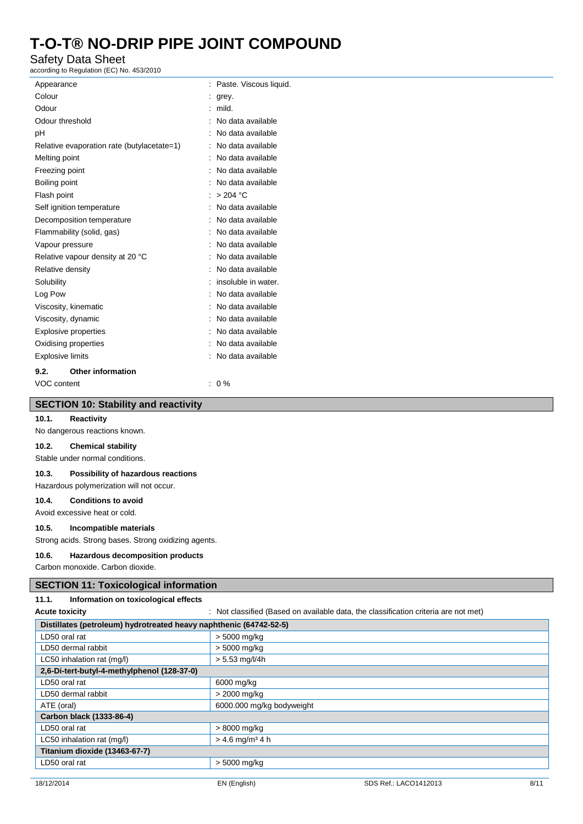### Safety Data Sheet

according to Regulation (EC) No. 453/2010

| Appearance                  |                                            | Paste. Viscous liquid. |
|-----------------------------|--------------------------------------------|------------------------|
| Colour                      |                                            | grey.                  |
| Odour                       |                                            | mild.                  |
| Odour threshold             |                                            | No data available      |
| рH                          |                                            | No data available      |
|                             | Relative evaporation rate (butylacetate=1) | No data available      |
| Melting point               |                                            | No data available      |
| Freezing point              |                                            | No data available      |
| Boiling point               |                                            | No data available      |
| Flash point                 |                                            | > 204 °C               |
|                             | Self ignition temperature                  | No data available      |
|                             | Decomposition temperature                  | No data available      |
|                             | Flammability (solid, gas)                  | No data available      |
| Vapour pressure             |                                            | No data available      |
|                             | Relative vapour density at 20 °C           | No data available      |
| Relative density            |                                            | No data available      |
| Solubility                  |                                            | insoluble in water.    |
| Log Pow                     |                                            | No data available      |
|                             | Viscosity, kinematic                       | No data available      |
| Viscosity, dynamic          |                                            | No data available      |
| <b>Explosive properties</b> |                                            | No data available      |
| Oxidising properties        |                                            | No data available      |
| <b>Explosive limits</b>     |                                            | No data available      |
| 9.2.                        | Other information                          |                        |
| VOC content                 |                                            | $0\%$                  |

#### **SECTION 10: Stability and reactivity**

#### **10.1. Reactivity**

No dangerous reactions known.

#### **10.2. Chemical stability**

Stable under normal conditions.

#### **10.3. Possibility of hazardous reactions**

Hazardous polymerization will not occur.

#### **10.4. Conditions to avoid**

Avoid excessive heat or cold.

#### **10.5. Incompatible materials**

Strong acids. Strong bases. Strong oxidizing agents.

#### **10.6. Hazardous decomposition products**

Carbon monoxide. Carbon dioxide.

#### **SECTION 11: Toxicological information**

#### **11.1. Information on toxicological effects**

Acute toxicity **interval on a state of the classified (Based on available data, the classification criteria are not met)** 

| Distillates (petroleum) hydrotreated heavy naphthenic (64742-52-5) |                               |  |
|--------------------------------------------------------------------|-------------------------------|--|
| LD50 oral rat                                                      | > 5000 mg/kg                  |  |
| LD50 dermal rabbit                                                 | > 5000 mg/kg                  |  |
| LC50 inhalation rat (mg/l)                                         | $> 5.53$ mg/l/4h              |  |
| 2,6-Di-tert-butyl-4-methylphenol (128-37-0)                        |                               |  |
| LD50 oral rat                                                      | 6000 mg/kg                    |  |
| LD50 dermal rabbit                                                 | > 2000 mg/kg                  |  |
| ATE (oral)                                                         | 6000.000 mg/kg bodyweight     |  |
| Carbon black (1333-86-4)                                           |                               |  |
| LD50 oral rat                                                      | > 8000 mg/kg                  |  |
| LC50 inhalation rat (mg/l)                                         | $> 4.6$ mg/m <sup>3</sup> 4 h |  |
| Titanium dioxide (13463-67-7)                                      |                               |  |
| LD50 oral rat                                                      | > 5000 mg/kg                  |  |
|                                                                    |                               |  |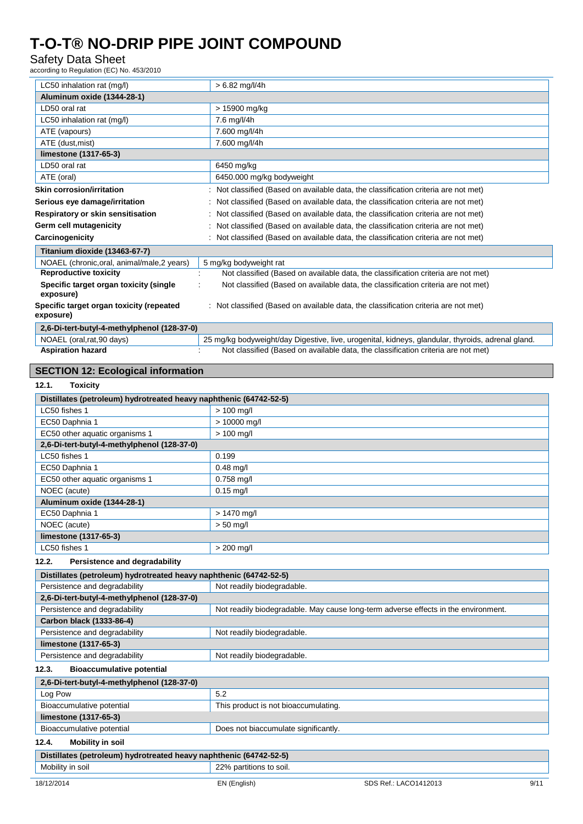### Safety Data Sheet

according to Regulation (EC) No. 453/2010

| LC50 inhalation rat (mg/l)                            | $> 6.82$ mg/l/4h                                                                                  |
|-------------------------------------------------------|---------------------------------------------------------------------------------------------------|
|                                                       |                                                                                                   |
| Aluminum oxide (1344-28-1)                            |                                                                                                   |
| LD50 oral rat                                         | > 15900 mg/kg                                                                                     |
| LC50 inhalation rat (mg/l)                            | 7.6 mg/l/4h                                                                                       |
| ATE (vapours)                                         | 7.600 mg/l/4h                                                                                     |
| ATE (dust, mist)                                      | 7.600 mg/l/4h                                                                                     |
| limestone (1317-65-3)                                 |                                                                                                   |
| LD50 oral rat                                         | 6450 mg/kg                                                                                        |
| ATE (oral)                                            | 6450.000 mg/kg bodyweight                                                                         |
| Skin corrosion/irritation                             | Not classified (Based on available data, the classification criteria are not met)                 |
| Serious eye damage/irritation                         | Not classified (Based on available data, the classification criteria are not met)                 |
| Respiratory or skin sensitisation                     | Not classified (Based on available data, the classification criteria are not met)                 |
| Germ cell mutagenicity                                | Not classified (Based on available data, the classification criteria are not met)                 |
| Carcinogenicity                                       | Not classified (Based on available data, the classification criteria are not met)                 |
| Titanium dioxide (13463-67-7)                         |                                                                                                   |
| NOAEL (chronic, oral, animal/male, 2 years)           | 5 mg/kg bodyweight rat                                                                            |
| <b>Reproductive toxicity</b>                          | Not classified (Based on available data, the classification criteria are not met)                 |
| Specific target organ toxicity (single<br>exposure)   | Not classified (Based on available data, the classification criteria are not met)                 |
| Specific target organ toxicity (repeated<br>exposure) | : Not classified (Based on available data, the classification criteria are not met)               |
| 2,6-Di-tert-butyl-4-methylphenol (128-37-0)           |                                                                                                   |
| NOAEL (oral, rat, 90 days)                            | 25 mg/kg bodyweight/day Digestive, live, urogenital, kidneys, glandular, thyroids, adrenal gland. |
| <b>Aspiration hazard</b>                              | Not classified (Based on available data, the classification criteria are not met)                 |

#### **SECTION 12: Ecological information**

### **12.1. Toxicity Distillates (petroleum) hydrotreated heavy naphthenic (64742-52-5)** LC50 fishes 1  $\vert$  > 100 mg/l EC50 Daphnia 1  $\vert$  > 10000 mg/l EC50 other aquatic organisms 1 > 100 mg/l **2,6-Di-tert-butyl-4-methylphenol (128-37-0)** LC50 fishes 1  $\vert$  0.199 EC50 Daphnia 1 0.48 mg/l EC50 other aquatic organisms 1 0.758 mg/l NOEC (acute) and the contract of the contract of the contract of the contract of the contract of the contract of the contract of the contract of the contract of the contract of the contract of the contract of the contract **Aluminum oxide (1344-28-1)** EC50 Daphnia 1 | > 1470 mg/l NOEC (acute)  $>$  50 mg/l **limestone (1317-65-3)** LC50 fishes 1  $\vert$  > 200 mg/l **12.2. Persistence and degradability Distillates (petroleum) hydrotreated heavy naphthenic (64742-52-5)** Persistence and degradability Not readily biodegradable. **2,6-Di-tert-butyl-4-methylphenol (128-37-0)** Persistence and degradability Not readily biodegradable. May cause long-term adverse effects in the environment **Carbon black (1333-86-4)** Persistence and degradability Not readily biodegradable. **limestone (1317-65-3)** Persistence and degradability **Not readily biodegradable. 12.3. Bioaccumulative potential 2,6-Di-tert-butyl-4-methylphenol (128-37-0)** Log Pow 3.2 Bioaccumulative potential This product is not bioaccumulating. **limestone (1317-65-3)** Bioaccumulative potential **Does not biaccumulate significantly 12.4. Mobility in soil**

**Distillates (petroleum) hydrotreated heavy naphthenic (64742-52-5)** Mobility in soil 22% partitions to soil.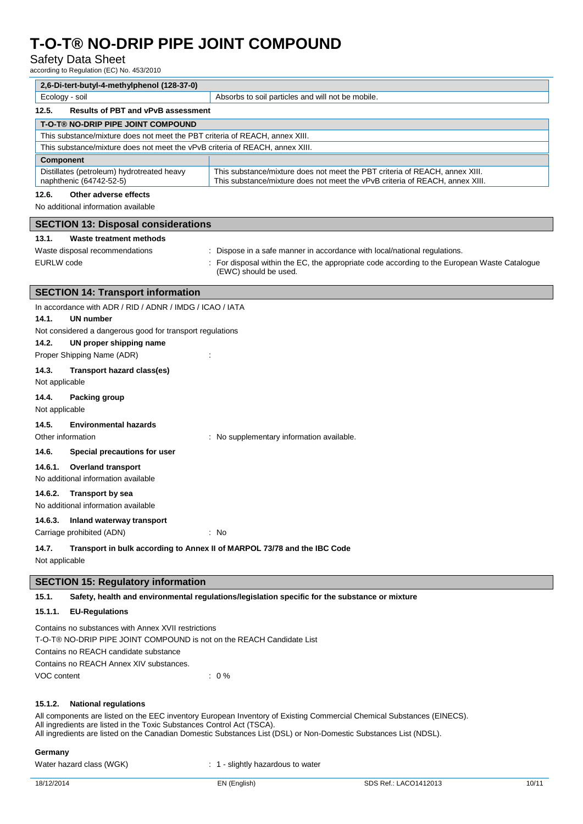### Safety Data Sheet

according to Regulation (EC) No. 453/2010

| 2,6-Di-tert-butyl-4-methylphenol (128-37-0)                                  |                                                                                                                                                             |  |
|------------------------------------------------------------------------------|-------------------------------------------------------------------------------------------------------------------------------------------------------------|--|
| Ecology - soil                                                               | Absorbs to soil particles and will not be mobile.                                                                                                           |  |
| 12.5.<br><b>Results of PBT and vPvB assessment</b>                           |                                                                                                                                                             |  |
| <b>T-O-T® NO-DRIP PIPE JOINT COMPOUND</b>                                    |                                                                                                                                                             |  |
| This substance/mixture does not meet the PBT criteria of REACH, annex XIII.  |                                                                                                                                                             |  |
| This substance/mixture does not meet the vPvB criteria of REACH, annex XIII. |                                                                                                                                                             |  |
| <b>Component</b>                                                             |                                                                                                                                                             |  |
| Distillates (petroleum) hydrotreated heavy<br>naphthenic (64742-52-5)        | This substance/mixture does not meet the PBT criteria of REACH, annex XIII.<br>This substance/mixture does not meet the vPvB criteria of REACH, annex XIII. |  |
|                                                                              |                                                                                                                                                             |  |

#### **12.6. Other adverse effects**

No additional information available

| <b>SECTION 13: Disposal considerations</b>                |                                                                                                                     |  |
|-----------------------------------------------------------|---------------------------------------------------------------------------------------------------------------------|--|
| Waste treatment methods<br>13.1.                          |                                                                                                                     |  |
| Waste disposal recommendations                            | : Dispose in a safe manner in accordance with local/national regulations.                                           |  |
| EURLW code                                                | For disposal within the EC, the appropriate code according to the European Waste Catalogue<br>(EWC) should be used. |  |
| <b>SECTION 14: Transport information</b>                  |                                                                                                                     |  |
| In accordance with ADR / RID / ADNR / IMDG / ICAO / IATA  |                                                                                                                     |  |
| UN number<br>14.1.                                        |                                                                                                                     |  |
| Not considered a dangerous good for transport regulations |                                                                                                                     |  |
| UN proper shipping name<br>14.2.                          |                                                                                                                     |  |
| Proper Shipping Name (ADR)                                |                                                                                                                     |  |
| Transport hazard class(es)<br>14.3.                       |                                                                                                                     |  |
| Not applicable                                            |                                                                                                                     |  |
|                                                           |                                                                                                                     |  |

#### **14.4. Packing group**

Not applicable

### **14.5. Environmental hazards**

Other information **intervalse in the contract of the Contract Studies** : No supplementary information available.

**14.6. Special precautions for user**

#### **14.6.1. Overland transport**

No additional information available

#### **14.6.2. Transport by sea**

No additional information available

#### **14.6.3. Inland waterway transport**

Carriage prohibited (ADN) : No

#### **14.7. Transport in bulk according to Annex II of MARPOL 73/78 and the IBC Code**

Not applicable

#### **SECTION 15: Regulatory information**

**15.1. Safety, health and environmental regulations/legislation specific for the substance or mixture**

#### **15.1.1. EU-Regulations**

Contains no substances with Annex XVII restrictions T-O-T® NO-DRIP PIPE JOINT COMPOUND is not on the REACH Candidate List Contains no REACH candidate substance Contains no REACH Annex XIV substances. VOC content  $\qquad \qquad : 0\%$ 

#### **15.1.2. National regulations**

All components are listed on the EEC inventory European Inventory of Existing Commercial Chemical Substances (EINECS). All ingredients are listed in the Toxic Substances Control Act (TSCA). All ingredients are listed on the Canadian Domestic Substances List (DSL) or Non-Domestic Substances List (NDSL).

#### **Germany**

Water hazard class (WGK)  $\cdot$  1 - slightly hazardous to water